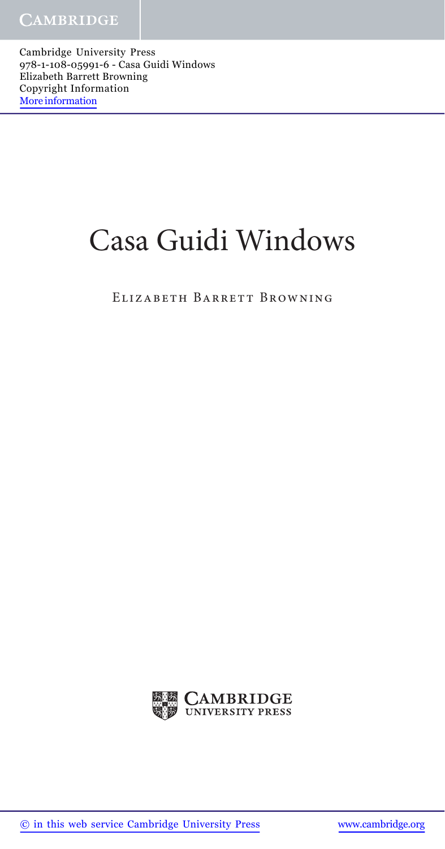Cambridge University Press 978-1-108-05991-6 - Casa Guidi Windows Elizabeth Barrett Browning Copyright Information More information

## Casa Guidi Windows

ELIZABETH BARRETT BROWNING